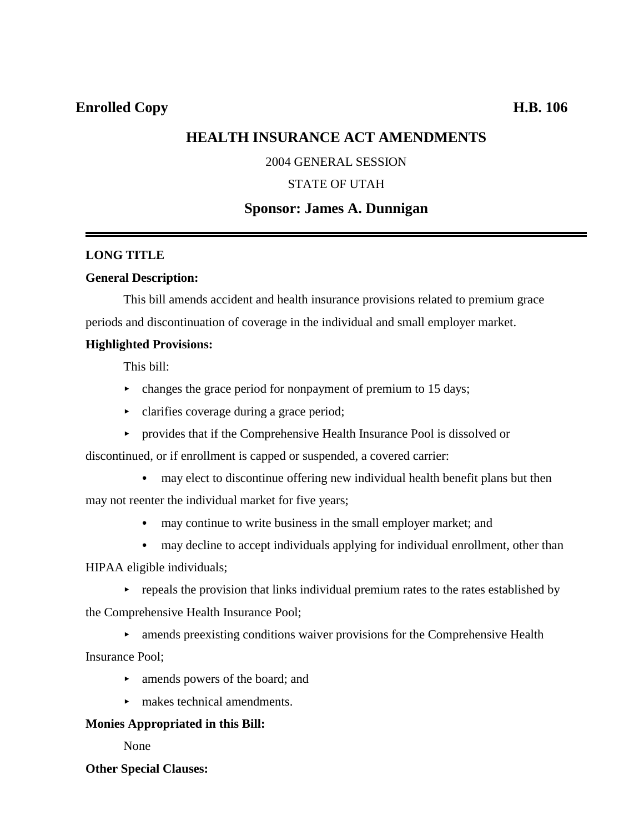## **HEALTH INSURANCE ACT AMENDMENTS**

### 2004 GENERAL SESSION

### STATE OF UTAH

# **Sponsor: James A. Dunnigan**

### **LONG TITLE**

### **General Description:**

This bill amends accident and health insurance provisions related to premium grace periods and discontinuation of coverage in the individual and small employer market.

### **Highlighted Provisions:**

This bill:

- $\triangleright$  changes the grace period for nonpayment of premium to 15 days;
- $\triangleright$  clarifies coverage during a grace period;
- < provides that if the Comprehensive Health Insurance Pool is dissolved or

discontinued, or if enrollment is capped or suspended, a covered carrier:

• may elect to discontinue offering new individual health benefit plans but then

may not reenter the individual market for five years;

- may continue to write business in the small employer market; and
- may decline to accept individuals applying for individual enrollment, other than

HIPAA eligible individuals;

 $\rightarrow$  repeals the provision that links individual premium rates to the rates established by the Comprehensive Health Insurance Pool;

**Exercise** means preexisting conditions waiver provisions for the Comprehensive Health Insurance Pool;

- amends powers of the board; and
- $\blacktriangleright$  makes technical amendments.

### **Monies Appropriated in this Bill:**

None

### **Other Special Clauses:**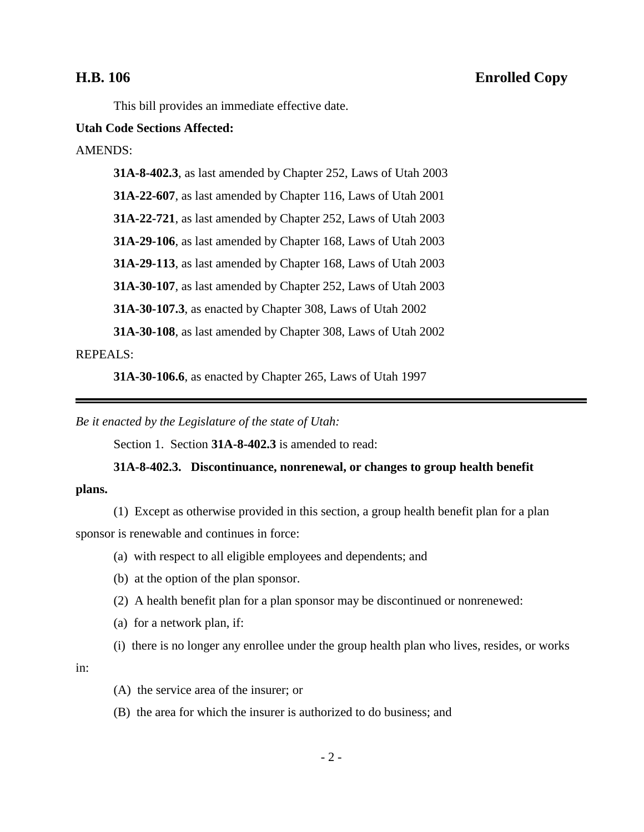This bill provides an immediate effective date.

### **Utah Code Sections Affected:**

AMENDS:

**31A-8-402.3**, as last amended by Chapter 252, Laws of Utah 2003 **31A-22-607**, as last amended by Chapter 116, Laws of Utah 2001 **31A-22-721**, as last amended by Chapter 252, Laws of Utah 2003 **31A-29-106**, as last amended by Chapter 168, Laws of Utah 2003 **31A-29-113**, as last amended by Chapter 168, Laws of Utah 2003 **31A-30-107**, as last amended by Chapter 252, Laws of Utah 2003 **31A-30-107.3**, as enacted by Chapter 308, Laws of Utah 2002

**31A-30-108**, as last amended by Chapter 308, Laws of Utah 2002 REPEALS:

**31A-30-106.6**, as enacted by Chapter 265, Laws of Utah 1997

*Be it enacted by the Legislature of the state of Utah:*

Section 1. Section **31A-8-402.3** is amended to read:

### **31A-8-402.3. Discontinuance, nonrenewal, or changes to group health benefit**

**plans.**

(1) Except as otherwise provided in this section, a group health benefit plan for a plan sponsor is renewable and continues in force:

(a) with respect to all eligible employees and dependents; and

(b) at the option of the plan sponsor.

(2) A health benefit plan for a plan sponsor may be discontinued or nonrenewed:

(a) for a network plan, if:

(i) there is no longer any enrollee under the group health plan who lives, resides, or works

in:

- (A) the service area of the insurer; or
- (B) the area for which the insurer is authorized to do business; and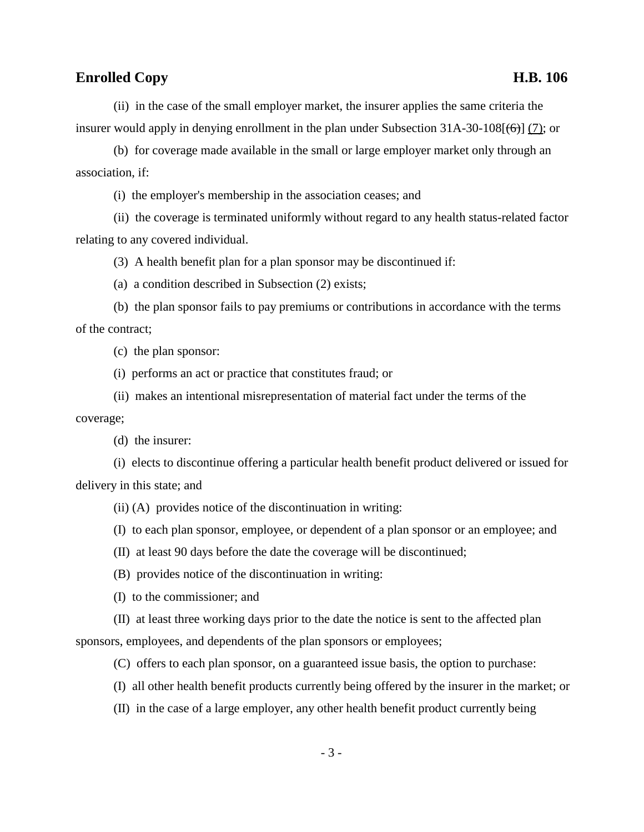(ii) in the case of the small employer market, the insurer applies the same criteria the insurer would apply in denying enrollment in the plan under Subsection  $31A-30-108[\left(\frac{1}{6}\right)]$  (7); or

(b) for coverage made available in the small or large employer market only through an association, if:

(i) the employer's membership in the association ceases; and

(ii) the coverage is terminated uniformly without regard to any health status-related factor relating to any covered individual.

(3) A health benefit plan for a plan sponsor may be discontinued if:

(a) a condition described in Subsection (2) exists;

(b) the plan sponsor fails to pay premiums or contributions in accordance with the terms of the contract;

(c) the plan sponsor:

(i) performs an act or practice that constitutes fraud; or

(ii) makes an intentional misrepresentation of material fact under the terms of the coverage;

(d) the insurer:

(i) elects to discontinue offering a particular health benefit product delivered or issued for delivery in this state; and

(ii) (A) provides notice of the discontinuation in writing:

(I) to each plan sponsor, employee, or dependent of a plan sponsor or an employee; and

(II) at least 90 days before the date the coverage will be discontinued;

(B) provides notice of the discontinuation in writing:

(I) to the commissioner; and

(II) at least three working days prior to the date the notice is sent to the affected plan

sponsors, employees, and dependents of the plan sponsors or employees;

(C) offers to each plan sponsor, on a guaranteed issue basis, the option to purchase:

(I) all other health benefit products currently being offered by the insurer in the market; or

(II) in the case of a large employer, any other health benefit product currently being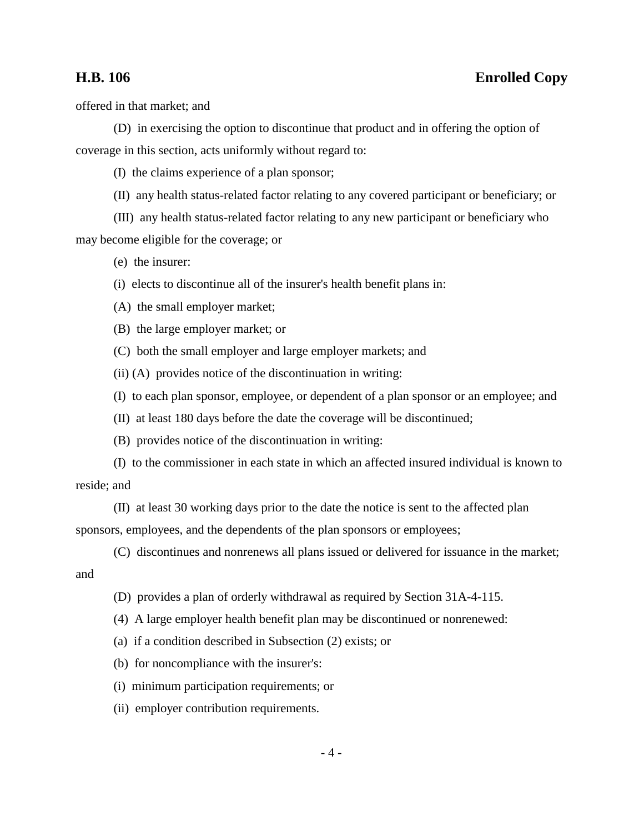offered in that market; and

(D) in exercising the option to discontinue that product and in offering the option of coverage in this section, acts uniformly without regard to:

(I) the claims experience of a plan sponsor;

(II) any health status-related factor relating to any covered participant or beneficiary; or

(III) any health status-related factor relating to any new participant or beneficiary who may become eligible for the coverage; or

(e) the insurer:

(i) elects to discontinue all of the insurer's health benefit plans in:

(A) the small employer market;

(B) the large employer market; or

(C) both the small employer and large employer markets; and

(ii) (A) provides notice of the discontinuation in writing:

(I) to each plan sponsor, employee, or dependent of a plan sponsor or an employee; and

(II) at least 180 days before the date the coverage will be discontinued;

(B) provides notice of the discontinuation in writing:

(I) to the commissioner in each state in which an affected insured individual is known to reside; and

(II) at least 30 working days prior to the date the notice is sent to the affected plan sponsors, employees, and the dependents of the plan sponsors or employees;

(C) discontinues and nonrenews all plans issued or delivered for issuance in the market; and

(D) provides a plan of orderly withdrawal as required by Section 31A-4-115.

(4) A large employer health benefit plan may be discontinued or nonrenewed:

(a) if a condition described in Subsection (2) exists; or

(b) for noncompliance with the insurer's:

(i) minimum participation requirements; or

(ii) employer contribution requirements.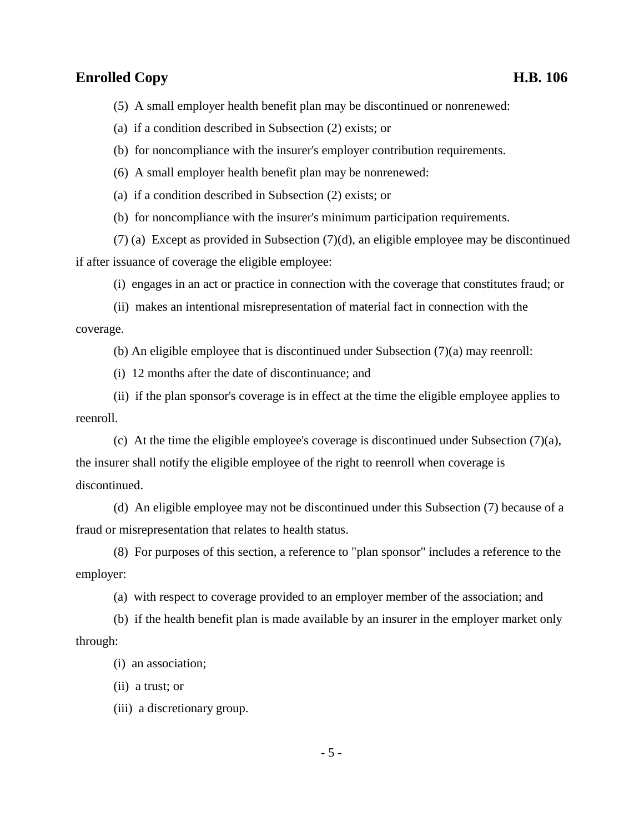(5) A small employer health benefit plan may be discontinued or nonrenewed:

(a) if a condition described in Subsection (2) exists; or

(b) for noncompliance with the insurer's employer contribution requirements.

(6) A small employer health benefit plan may be nonrenewed:

(a) if a condition described in Subsection (2) exists; or

(b) for noncompliance with the insurer's minimum participation requirements.

(7) (a) Except as provided in Subsection (7)(d), an eligible employee may be discontinued if after issuance of coverage the eligible employee:

(i) engages in an act or practice in connection with the coverage that constitutes fraud; or

(ii) makes an intentional misrepresentation of material fact in connection with the coverage.

(b) An eligible employee that is discontinued under Subsection (7)(a) may reenroll:

(i) 12 months after the date of discontinuance; and

(ii) if the plan sponsor's coverage is in effect at the time the eligible employee applies to reenroll.

(c) At the time the eligible employee's coverage is discontinued under Subsection  $(7)(a)$ , the insurer shall notify the eligible employee of the right to reenroll when coverage is discontinued.

(d) An eligible employee may not be discontinued under this Subsection (7) because of a fraud or misrepresentation that relates to health status.

(8) For purposes of this section, a reference to "plan sponsor" includes a reference to the employer:

(a) with respect to coverage provided to an employer member of the association; and

(b) if the health benefit plan is made available by an insurer in the employer market only through:

(i) an association;

(ii) a trust; or

(iii) a discretionary group.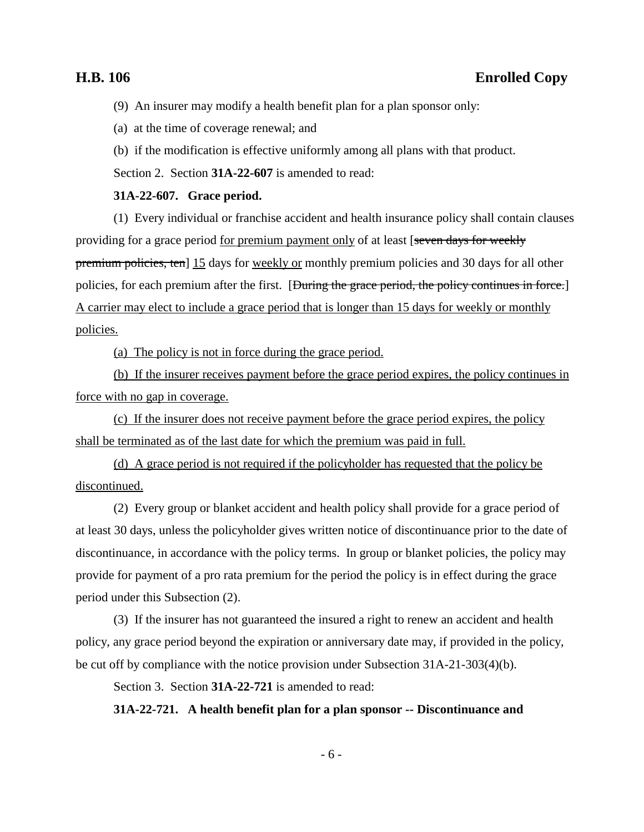(9) An insurer may modify a health benefit plan for a plan sponsor only:

(a) at the time of coverage renewal; and

(b) if the modification is effective uniformly among all plans with that product.

Section 2. Section **31A-22-607** is amended to read:

### **31A-22-607. Grace period.**

(1) Every individual or franchise accident and health insurance policy shall contain clauses providing for a grace period for premium payment only of at least [seven days for weekly premium policies, ten] 15 days for weekly or monthly premium policies and 30 days for all other policies, for each premium after the first. [During the grace period, the policy continues in force.] A carrier may elect to include a grace period that is longer than 15 days for weekly or monthly policies.

(a) The policy is not in force during the grace period.

(b) If the insurer receives payment before the grace period expires, the policy continues in force with no gap in coverage.

(c) If the insurer does not receive payment before the grace period expires, the policy shall be terminated as of the last date for which the premium was paid in full.

(d) A grace period is not required if the policyholder has requested that the policy be discontinued.

(2) Every group or blanket accident and health policy shall provide for a grace period of at least 30 days, unless the policyholder gives written notice of discontinuance prior to the date of discontinuance, in accordance with the policy terms. In group or blanket policies, the policy may provide for payment of a pro rata premium for the period the policy is in effect during the grace period under this Subsection (2).

(3) If the insurer has not guaranteed the insured a right to renew an accident and health policy, any grace period beyond the expiration or anniversary date may, if provided in the policy, be cut off by compliance with the notice provision under Subsection 31A-21-303(4)(b).

Section 3. Section **31A-22-721** is amended to read:

**31A-22-721. A health benefit plan for a plan sponsor -- Discontinuance and**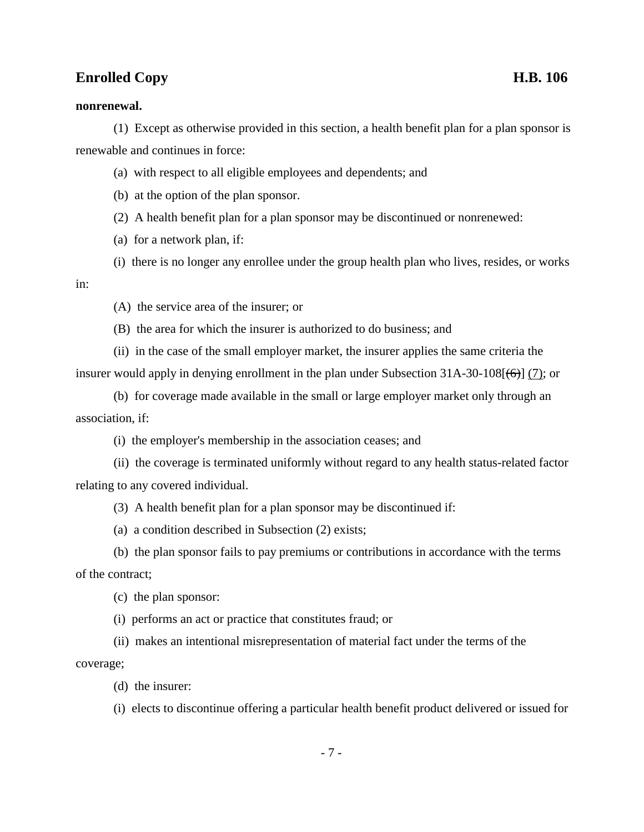### **nonrenewal.**

(1) Except as otherwise provided in this section, a health benefit plan for a plan sponsor is renewable and continues in force:

- (a) with respect to all eligible employees and dependents; and
- (b) at the option of the plan sponsor.
- (2) A health benefit plan for a plan sponsor may be discontinued or nonrenewed:
- (a) for a network plan, if:
- (i) there is no longer any enrollee under the group health plan who lives, resides, or works

in:

- (A) the service area of the insurer; or
- (B) the area for which the insurer is authorized to do business; and

(ii) in the case of the small employer market, the insurer applies the same criteria the insurer would apply in denying enrollment in the plan under Subsection  $31A-30-108[\left(\frac{1}{10}\right)]$  (7); or

(b) for coverage made available in the small or large employer market only through an association, if:

(i) the employer's membership in the association ceases; and

(ii) the coverage is terminated uniformly without regard to any health status-related factor relating to any covered individual.

(3) A health benefit plan for a plan sponsor may be discontinued if:

(a) a condition described in Subsection (2) exists;

(b) the plan sponsor fails to pay premiums or contributions in accordance with the terms of the contract;

(c) the plan sponsor:

(i) performs an act or practice that constitutes fraud; or

(ii) makes an intentional misrepresentation of material fact under the terms of the

coverage;

(d) the insurer:

(i) elects to discontinue offering a particular health benefit product delivered or issued for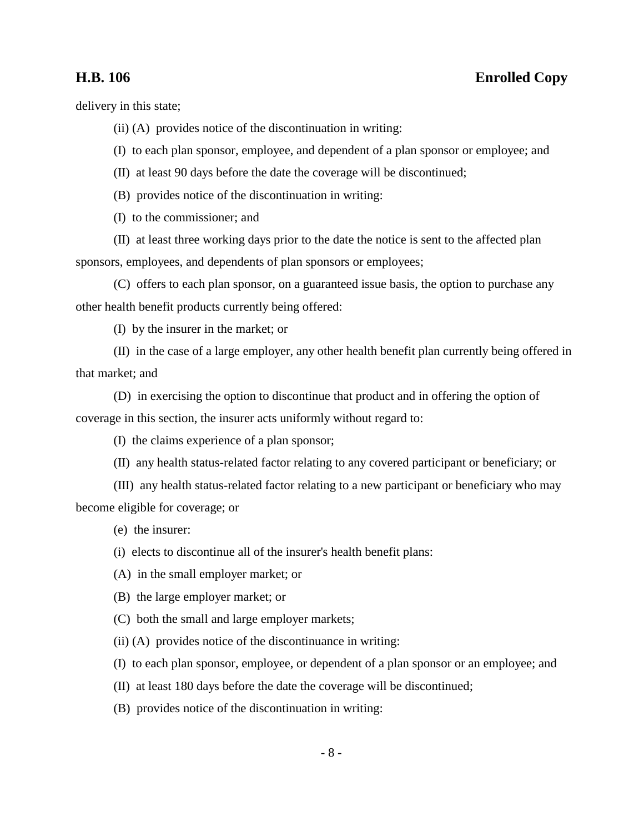delivery in this state;

(ii) (A) provides notice of the discontinuation in writing:

(I) to each plan sponsor, employee, and dependent of a plan sponsor or employee; and

(II) at least 90 days before the date the coverage will be discontinued;

(B) provides notice of the discontinuation in writing:

(I) to the commissioner; and

(II) at least three working days prior to the date the notice is sent to the affected plan sponsors, employees, and dependents of plan sponsors or employees;

(C) offers to each plan sponsor, on a guaranteed issue basis, the option to purchase any other health benefit products currently being offered:

(I) by the insurer in the market; or

(II) in the case of a large employer, any other health benefit plan currently being offered in that market; and

(D) in exercising the option to discontinue that product and in offering the option of coverage in this section, the insurer acts uniformly without regard to:

(I) the claims experience of a plan sponsor;

(II) any health status-related factor relating to any covered participant or beneficiary; or

(III) any health status-related factor relating to a new participant or beneficiary who may become eligible for coverage; or

(e) the insurer:

(i) elects to discontinue all of the insurer's health benefit plans:

(A) in the small employer market; or

(B) the large employer market; or

(C) both the small and large employer markets;

(ii) (A) provides notice of the discontinuance in writing:

(I) to each plan sponsor, employee, or dependent of a plan sponsor or an employee; and

(II) at least 180 days before the date the coverage will be discontinued;

(B) provides notice of the discontinuation in writing: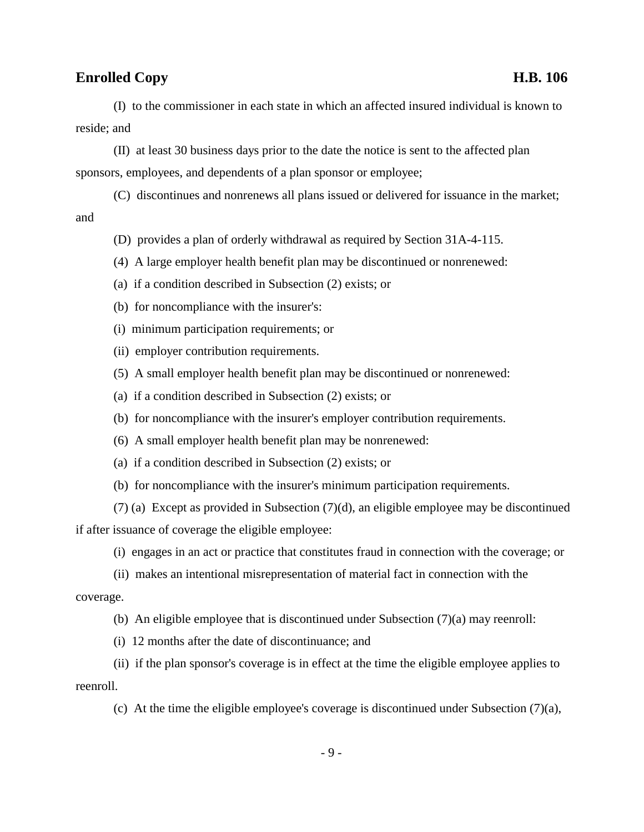(I) to the commissioner in each state in which an affected insured individual is known to reside; and

(II) at least 30 business days prior to the date the notice is sent to the affected plan sponsors, employees, and dependents of a plan sponsor or employee;

(C) discontinues and nonrenews all plans issued or delivered for issuance in the market; and

- (D) provides a plan of orderly withdrawal as required by Section 31A-4-115.
- (4) A large employer health benefit plan may be discontinued or nonrenewed:
- (a) if a condition described in Subsection (2) exists; or
- (b) for noncompliance with the insurer's:
- (i) minimum participation requirements; or
- (ii) employer contribution requirements.
- (5) A small employer health benefit plan may be discontinued or nonrenewed:
- (a) if a condition described in Subsection (2) exists; or
- (b) for noncompliance with the insurer's employer contribution requirements.
- (6) A small employer health benefit plan may be nonrenewed:
- (a) if a condition described in Subsection (2) exists; or
- (b) for noncompliance with the insurer's minimum participation requirements.
- (7) (a) Except as provided in Subsection (7)(d), an eligible employee may be discontinued if after issuance of coverage the eligible employee:
	- (i) engages in an act or practice that constitutes fraud in connection with the coverage; or
	- (ii) makes an intentional misrepresentation of material fact in connection with the

coverage.

(b) An eligible employee that is discontinued under Subsection (7)(a) may reenroll:

- (i) 12 months after the date of discontinuance; and
- (ii) if the plan sponsor's coverage is in effect at the time the eligible employee applies to reenroll.
	- (c) At the time the eligible employee's coverage is discontinued under Subsection (7)(a),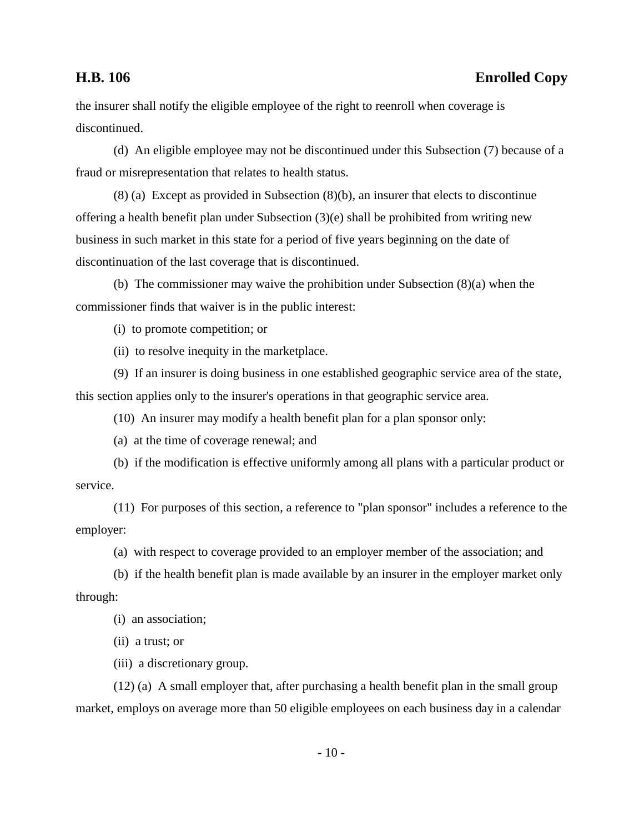the insurer shall notify the eligible employee of the right to reenroll when coverage is discontinued.

(d) An eligible employee may not be discontinued under this Subsection (7) because of a fraud or misrepresentation that relates to health status.

(8) (a) Except as provided in Subsection (8)(b), an insurer that elects to discontinue offering a health benefit plan under Subsection (3)(e) shall be prohibited from writing new business in such market in this state for a period of five years beginning on the date of discontinuation of the last coverage that is discontinued.

(b) The commissioner may waive the prohibition under Subsection (8)(a) when the commissioner finds that waiver is in the public interest:

(i) to promote competition; or

(ii) to resolve inequity in the marketplace.

(9) If an insurer is doing business in one established geographic service area of the state, this section applies only to the insurer's operations in that geographic service area.

(10) An insurer may modify a health benefit plan for a plan sponsor only:

(a) at the time of coverage renewal; and

(b) if the modification is effective uniformly among all plans with a particular product or service.

(11) For purposes of this section, a reference to "plan sponsor" includes a reference to the employer:

(a) with respect to coverage provided to an employer member of the association; and

(b) if the health benefit plan is made available by an insurer in the employer market only through:

(i) an association;

(ii) a trust; or

(iii) a discretionary group.

(12) (a) A small employer that, after purchasing a health benefit plan in the small group market, employs on average more than 50 eligible employees on each business day in a calendar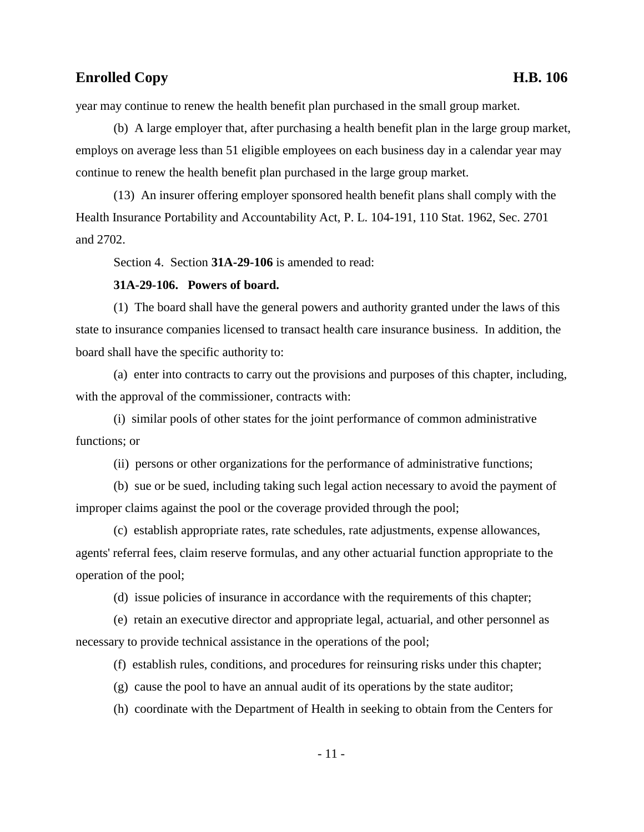year may continue to renew the health benefit plan purchased in the small group market.

(b) A large employer that, after purchasing a health benefit plan in the large group market, employs on average less than 51 eligible employees on each business day in a calendar year may continue to renew the health benefit plan purchased in the large group market.

(13) An insurer offering employer sponsored health benefit plans shall comply with the Health Insurance Portability and Accountability Act, P. L. 104-191, 110 Stat. 1962, Sec. 2701 and 2702.

Section 4. Section **31A-29-106** is amended to read:

### **31A-29-106. Powers of board.**

(1) The board shall have the general powers and authority granted under the laws of this state to insurance companies licensed to transact health care insurance business. In addition, the board shall have the specific authority to:

(a) enter into contracts to carry out the provisions and purposes of this chapter, including, with the approval of the commissioner, contracts with:

(i) similar pools of other states for the joint performance of common administrative functions; or

(ii) persons or other organizations for the performance of administrative functions;

(b) sue or be sued, including taking such legal action necessary to avoid the payment of improper claims against the pool or the coverage provided through the pool;

(c) establish appropriate rates, rate schedules, rate adjustments, expense allowances, agents' referral fees, claim reserve formulas, and any other actuarial function appropriate to the operation of the pool;

(d) issue policies of insurance in accordance with the requirements of this chapter;

(e) retain an executive director and appropriate legal, actuarial, and other personnel as necessary to provide technical assistance in the operations of the pool;

(f) establish rules, conditions, and procedures for reinsuring risks under this chapter;

- (g) cause the pool to have an annual audit of its operations by the state auditor;
- (h) coordinate with the Department of Health in seeking to obtain from the Centers for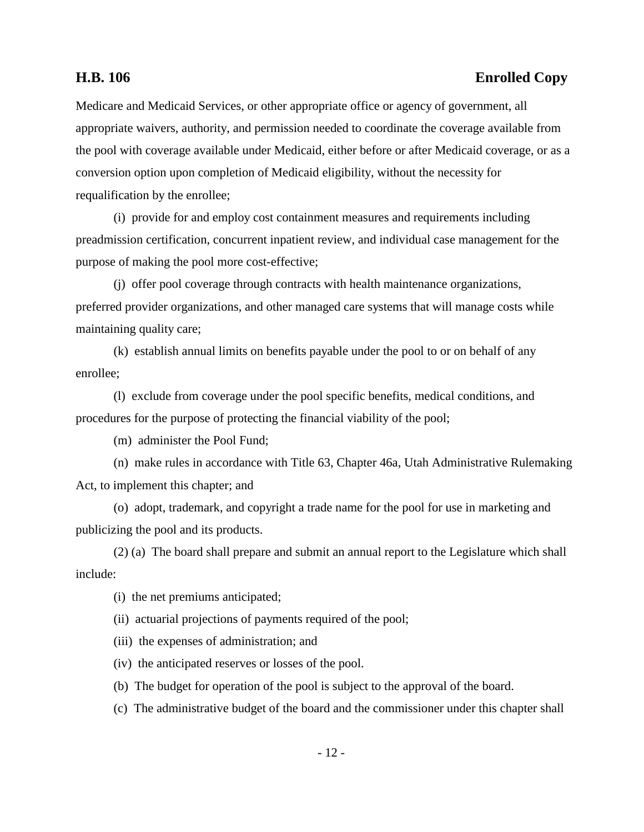Medicare and Medicaid Services, or other appropriate office or agency of government, all appropriate waivers, authority, and permission needed to coordinate the coverage available from the pool with coverage available under Medicaid, either before or after Medicaid coverage, or as a conversion option upon completion of Medicaid eligibility, without the necessity for requalification by the enrollee;

(i) provide for and employ cost containment measures and requirements including preadmission certification, concurrent inpatient review, and individual case management for the purpose of making the pool more cost-effective;

(j) offer pool coverage through contracts with health maintenance organizations, preferred provider organizations, and other managed care systems that will manage costs while maintaining quality care;

(k) establish annual limits on benefits payable under the pool to or on behalf of any enrollee;

(l) exclude from coverage under the pool specific benefits, medical conditions, and procedures for the purpose of protecting the financial viability of the pool;

(m) administer the Pool Fund;

(n) make rules in accordance with Title 63, Chapter 46a, Utah Administrative Rulemaking Act, to implement this chapter; and

(o) adopt, trademark, and copyright a trade name for the pool for use in marketing and publicizing the pool and its products.

(2) (a) The board shall prepare and submit an annual report to the Legislature which shall include:

(i) the net premiums anticipated;

(ii) actuarial projections of payments required of the pool;

(iii) the expenses of administration; and

(iv) the anticipated reserves or losses of the pool.

(b) The budget for operation of the pool is subject to the approval of the board.

(c) The administrative budget of the board and the commissioner under this chapter shall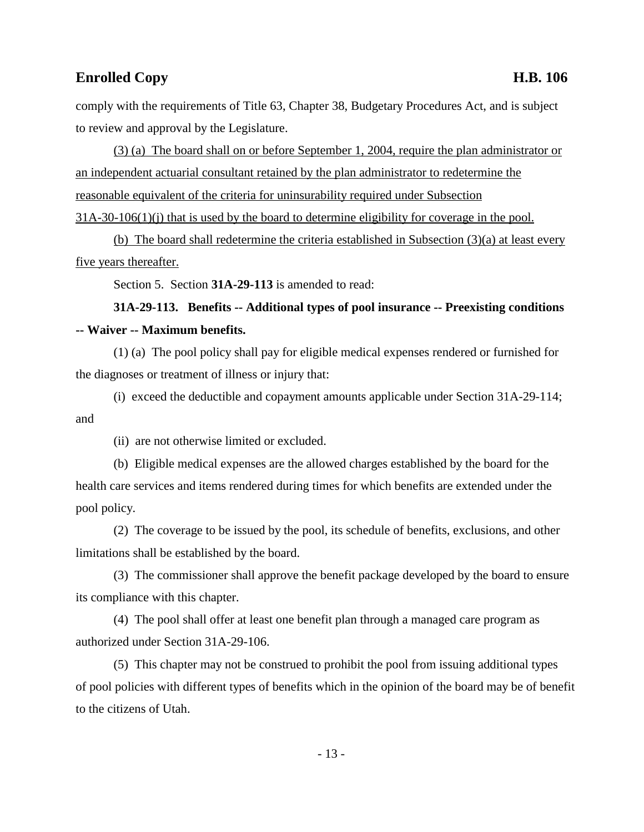comply with the requirements of Title 63, Chapter 38, Budgetary Procedures Act, and is subject to review and approval by the Legislature.

(3) (a) The board shall on or before September 1, 2004, require the plan administrator or an independent actuarial consultant retained by the plan administrator to redetermine the reasonable equivalent of the criteria for uninsurability required under Subsection  $31A-30-106(1)(i)$  that is used by the board to determine eligibility for coverage in the pool.

(b) The board shall redetermine the criteria established in Subsection (3)(a) at least every five years thereafter.

Section 5. Section **31A-29-113** is amended to read:

**31A-29-113. Benefits -- Additional types of pool insurance -- Preexisting conditions -- Waiver -- Maximum benefits.**

(1) (a) The pool policy shall pay for eligible medical expenses rendered or furnished for the diagnoses or treatment of illness or injury that:

(i) exceed the deductible and copayment amounts applicable under Section 31A-29-114; and

(ii) are not otherwise limited or excluded.

(b) Eligible medical expenses are the allowed charges established by the board for the health care services and items rendered during times for which benefits are extended under the pool policy.

(2) The coverage to be issued by the pool, its schedule of benefits, exclusions, and other limitations shall be established by the board.

(3) The commissioner shall approve the benefit package developed by the board to ensure its compliance with this chapter.

(4) The pool shall offer at least one benefit plan through a managed care program as authorized under Section 31A-29-106.

(5) This chapter may not be construed to prohibit the pool from issuing additional types of pool policies with different types of benefits which in the opinion of the board may be of benefit to the citizens of Utah.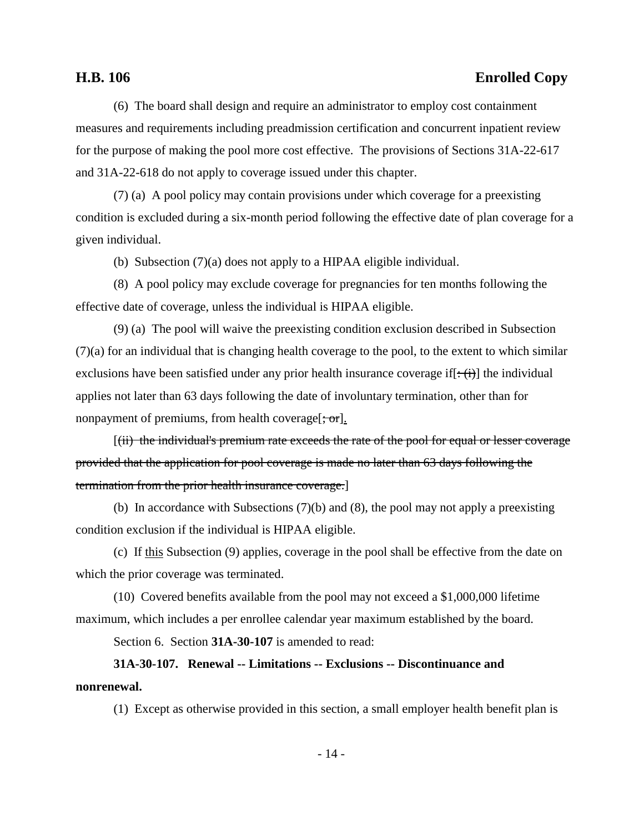(6) The board shall design and require an administrator to employ cost containment measures and requirements including preadmission certification and concurrent inpatient review for the purpose of making the pool more cost effective. The provisions of Sections 31A-22-617 and 31A-22-618 do not apply to coverage issued under this chapter.

(7) (a) A pool policy may contain provisions under which coverage for a preexisting condition is excluded during a six-month period following the effective date of plan coverage for a given individual.

(b) Subsection (7)(a) does not apply to a HIPAA eligible individual.

(8) A pool policy may exclude coverage for pregnancies for ten months following the effective date of coverage, unless the individual is HIPAA eligible.

(9) (a) The pool will waive the preexisting condition exclusion described in Subsection (7)(a) for an individual that is changing health coverage to the pool, to the extent to which similar exclusions have been satisfied under any prior health insurance coverage if  $\left[\div(\mathbf{i})\right]$  the individual applies not later than 63 days following the date of involuntary termination, other than for nonpayment of premiums, from health coverage  $\left[\frac{1}{2}, \frac{1}{2}, \frac{1}{2}\right]$ .

[(ii) the individual's premium rate exceeds the rate of the pool for equal or lesser coverage provided that the application for pool coverage is made no later than 63 days following the termination from the prior health insurance coverage.]

(b) In accordance with Subsections (7)(b) and (8), the pool may not apply a preexisting condition exclusion if the individual is HIPAA eligible.

(c) If this Subsection (9) applies, coverage in the pool shall be effective from the date on which the prior coverage was terminated.

(10) Covered benefits available from the pool may not exceed a \$1,000,000 lifetime maximum, which includes a per enrollee calendar year maximum established by the board.

Section 6. Section **31A-30-107** is amended to read:

# **31A-30-107. Renewal -- Limitations -- Exclusions -- Discontinuance and nonrenewal.**

(1) Except as otherwise provided in this section, a small employer health benefit plan is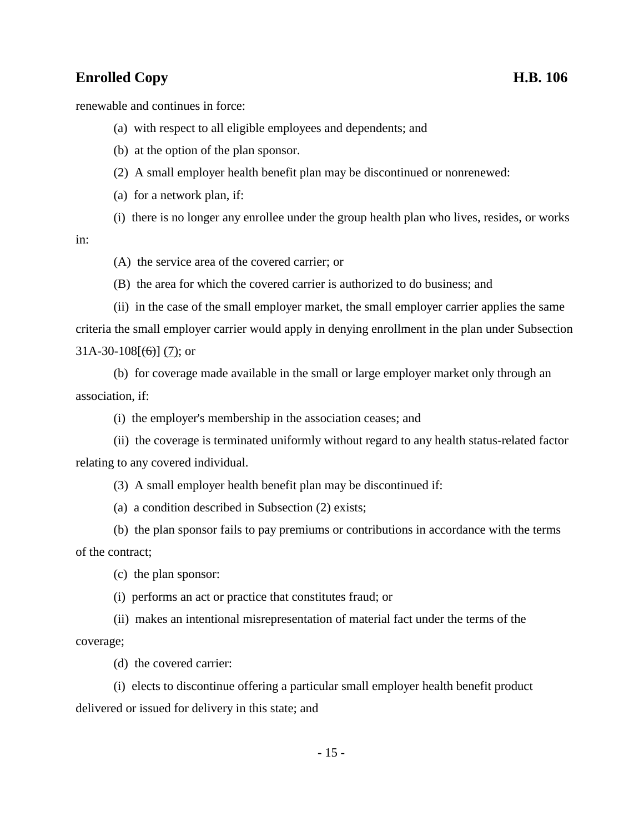renewable and continues in force:

(a) with respect to all eligible employees and dependents; and

(b) at the option of the plan sponsor.

(2) A small employer health benefit plan may be discontinued or nonrenewed:

(a) for a network plan, if:

(i) there is no longer any enrollee under the group health plan who lives, resides, or works

in:

- (A) the service area of the covered carrier; or
- (B) the area for which the covered carrier is authorized to do business; and

(ii) in the case of the small employer market, the small employer carrier applies the same criteria the small employer carrier would apply in denying enrollment in the plan under Subsection 31A-30-108 $[\left(6\right)]$  (7); or

(b) for coverage made available in the small or large employer market only through an association, if:

(i) the employer's membership in the association ceases; and

(ii) the coverage is terminated uniformly without regard to any health status-related factor relating to any covered individual.

(3) A small employer health benefit plan may be discontinued if:

(a) a condition described in Subsection (2) exists;

(b) the plan sponsor fails to pay premiums or contributions in accordance with the terms of the contract;

(c) the plan sponsor:

(i) performs an act or practice that constitutes fraud; or

(ii) makes an intentional misrepresentation of material fact under the terms of the coverage;

(d) the covered carrier:

(i) elects to discontinue offering a particular small employer health benefit product delivered or issued for delivery in this state; and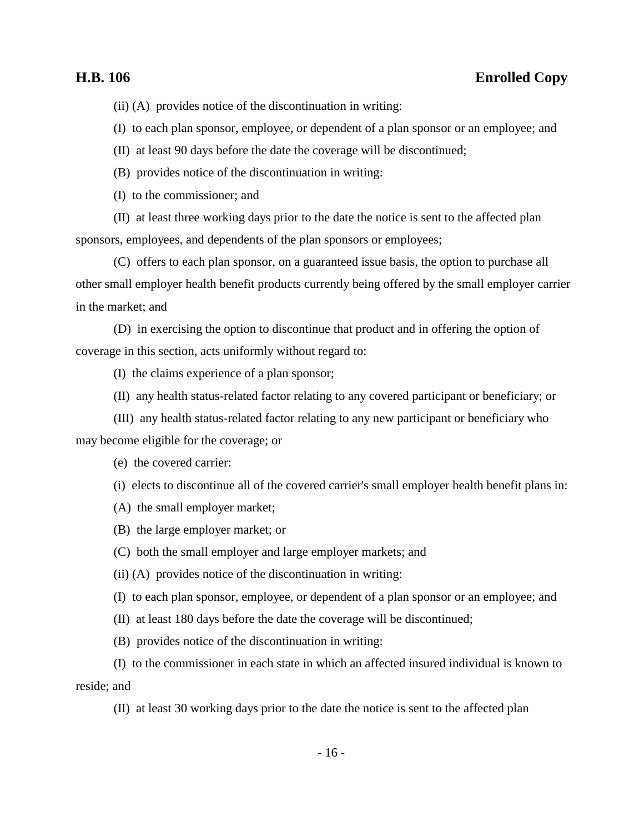(ii) (A) provides notice of the discontinuation in writing:

(I) to each plan sponsor, employee, or dependent of a plan sponsor or an employee; and

(II) at least 90 days before the date the coverage will be discontinued;

(B) provides notice of the discontinuation in writing:

(I) to the commissioner; and

(II) at least three working days prior to the date the notice is sent to the affected plan sponsors, employees, and dependents of the plan sponsors or employees;

(C) offers to each plan sponsor, on a guaranteed issue basis, the option to purchase all other small employer health benefit products currently being offered by the small employer carrier in the market; and

(D) in exercising the option to discontinue that product and in offering the option of coverage in this section, acts uniformly without regard to:

(I) the claims experience of a plan sponsor;

(II) any health status-related factor relating to any covered participant or beneficiary; or

(III) any health status-related factor relating to any new participant or beneficiary who may become eligible for the coverage; or

(e) the covered carrier:

(i) elects to discontinue all of the covered carrier's small employer health benefit plans in:

- (A) the small employer market;
- (B) the large employer market; or

(C) both the small employer and large employer markets; and

(ii) (A) provides notice of the discontinuation in writing:

(I) to each plan sponsor, employee, or dependent of a plan sponsor or an employee; and

(II) at least 180 days before the date the coverage will be discontinued;

(B) provides notice of the discontinuation in writing:

(I) to the commissioner in each state in which an affected insured individual is known to reside; and

(II) at least 30 working days prior to the date the notice is sent to the affected plan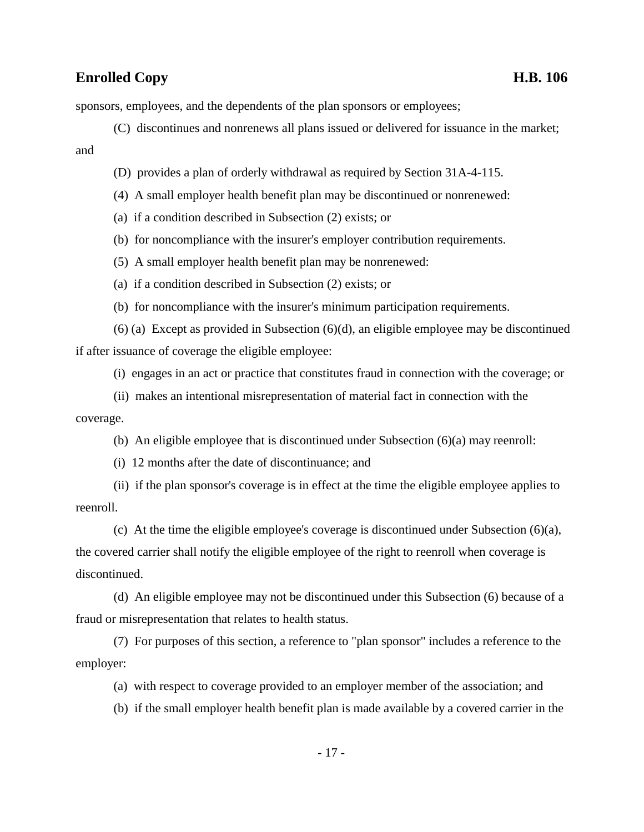sponsors, employees, and the dependents of the plan sponsors or employees;

(C) discontinues and nonrenews all plans issued or delivered for issuance in the market; and

(D) provides a plan of orderly withdrawal as required by Section 31A-4-115.

(4) A small employer health benefit plan may be discontinued or nonrenewed:

(a) if a condition described in Subsection (2) exists; or

(b) for noncompliance with the insurer's employer contribution requirements.

(5) A small employer health benefit plan may be nonrenewed:

(a) if a condition described in Subsection (2) exists; or

(b) for noncompliance with the insurer's minimum participation requirements.

(6) (a) Except as provided in Subsection (6)(d), an eligible employee may be discontinued if after issuance of coverage the eligible employee:

(i) engages in an act or practice that constitutes fraud in connection with the coverage; or

(ii) makes an intentional misrepresentation of material fact in connection with the coverage.

(b) An eligible employee that is discontinued under Subsection (6)(a) may reenroll:

(i) 12 months after the date of discontinuance; and

(ii) if the plan sponsor's coverage is in effect at the time the eligible employee applies to reenroll.

(c) At the time the eligible employee's coverage is discontinued under Subsection (6)(a), the covered carrier shall notify the eligible employee of the right to reenroll when coverage is discontinued.

(d) An eligible employee may not be discontinued under this Subsection (6) because of a fraud or misrepresentation that relates to health status.

(7) For purposes of this section, a reference to "plan sponsor" includes a reference to the employer:

(a) with respect to coverage provided to an employer member of the association; and

(b) if the small employer health benefit plan is made available by a covered carrier in the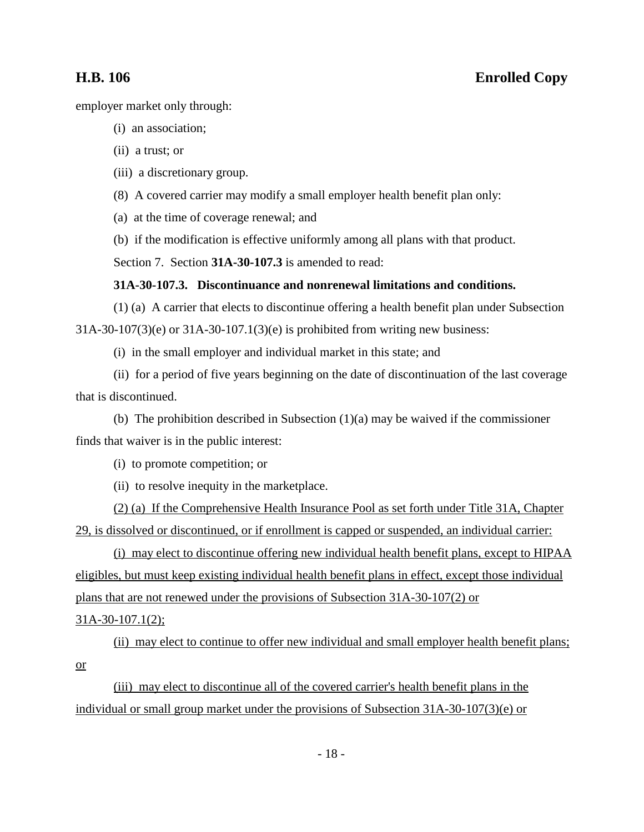employer market only through:

- (i) an association;
- (ii) a trust; or

(iii) a discretionary group.

- (8) A covered carrier may modify a small employer health benefit plan only:
- (a) at the time of coverage renewal; and
- (b) if the modification is effective uniformly among all plans with that product.

Section 7. Section **31A-30-107.3** is amended to read:

### **31A-30-107.3. Discontinuance and nonrenewal limitations and conditions.**

(1) (a) A carrier that elects to discontinue offering a health benefit plan under Subsection 31A-30-107(3)(e) or 31A-30-107.1(3)(e) is prohibited from writing new business:

(i) in the small employer and individual market in this state; and

(ii) for a period of five years beginning on the date of discontinuation of the last coverage that is discontinued.

(b) The prohibition described in Subsection (1)(a) may be waived if the commissioner finds that waiver is in the public interest:

(i) to promote competition; or

(ii) to resolve inequity in the marketplace.

(2) (a) If the Comprehensive Health Insurance Pool as set forth under Title 31A, Chapter 29, is dissolved or discontinued, or if enrollment is capped or suspended, an individual carrier:

(i) may elect to discontinue offering new individual health benefit plans, except to HIPAA eligibles, but must keep existing individual health benefit plans in effect, except those individual plans that are not renewed under the provisions of Subsection 31A-30-107(2) or

### 31A-30-107.1(2);

(ii) may elect to continue to offer new individual and small employer health benefit plans; or

(iii) may elect to discontinue all of the covered carrier's health benefit plans in the individual or small group market under the provisions of Subsection 31A-30-107(3)(e) or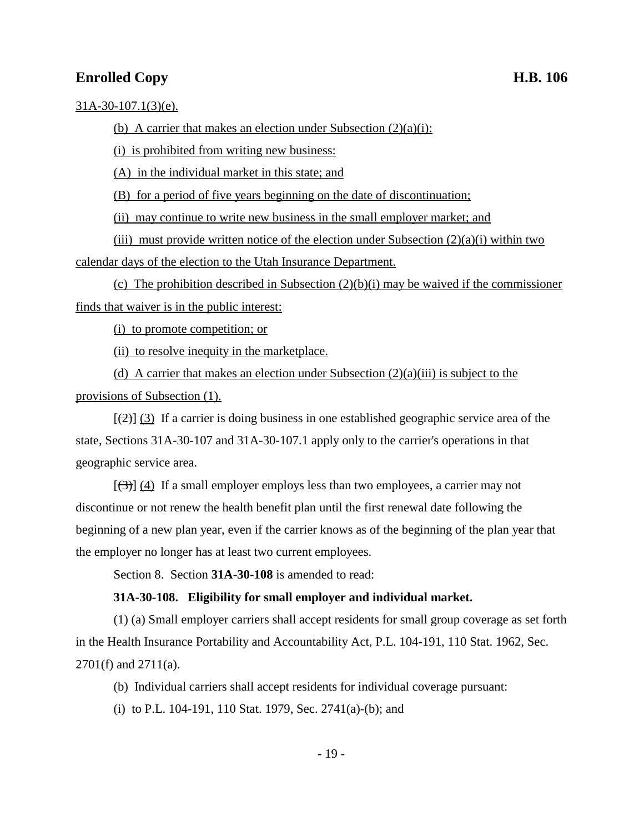$31A-30-107.1(3)(e)$ .

(b) A carrier that makes an election under Subsection  $(2)(a)(i)$ :

(i) is prohibited from writing new business:

(A) in the individual market in this state; and

(B) for a period of five years beginning on the date of discontinuation;

(ii) may continue to write new business in the small employer market; and

(iii) must provide written notice of the election under Subsection  $(2)(a)(i)$  within two calendar days of the election to the Utah Insurance Department.

(c) The prohibition described in Subsection  $(2)(b)(i)$  may be waived if the commissioner finds that waiver is in the public interest:

(i) to promote competition; or

(ii) to resolve inequity in the marketplace.

(d) A carrier that makes an election under Subsection  $(2)(a)(iii)$  is subject to the provisions of Subsection (1).

 $\left[\frac{1}{2}\right]$  (3) If a carrier is doing business in one established geographic service area of the state, Sections 31A-30-107 and 31A-30-107.1 apply only to the carrier's operations in that geographic service area.

 $[(3)] (4)$  If a small employer employs less than two employees, a carrier may not discontinue or not renew the health benefit plan until the first renewal date following the beginning of a new plan year, even if the carrier knows as of the beginning of the plan year that the employer no longer has at least two current employees.

Section 8. Section **31A-30-108** is amended to read:

### **31A-30-108. Eligibility for small employer and individual market.**

(1) (a) Small employer carriers shall accept residents for small group coverage as set forth in the Health Insurance Portability and Accountability Act, P.L. 104-191, 110 Stat. 1962, Sec. 2701(f) and 2711(a).

(b) Individual carriers shall accept residents for individual coverage pursuant:

(i) to P.L. 104-191, 110 Stat. 1979, Sec. 2741(a)-(b); and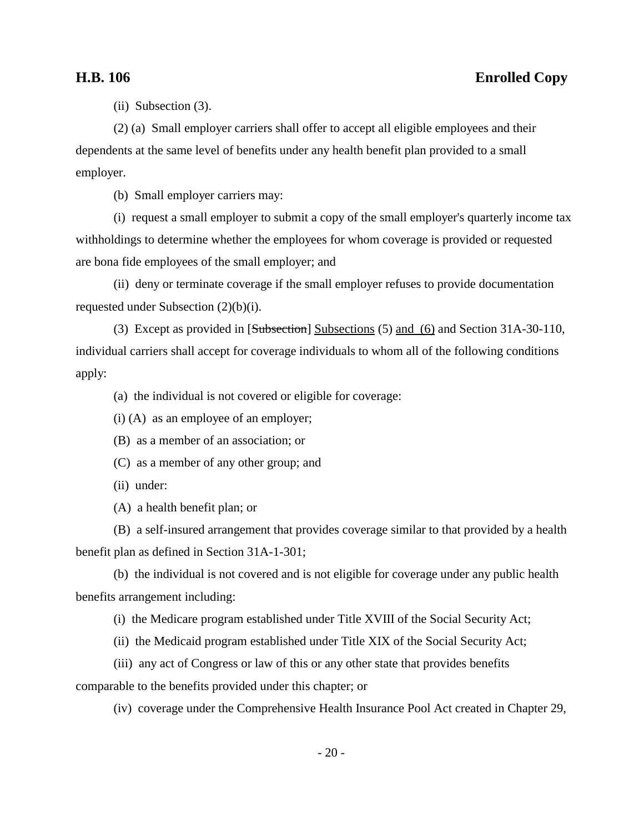(ii) Subsection (3).

(2) (a) Small employer carriers shall offer to accept all eligible employees and their dependents at the same level of benefits under any health benefit plan provided to a small employer.

(b) Small employer carriers may:

(i) request a small employer to submit a copy of the small employer's quarterly income tax withholdings to determine whether the employees for whom coverage is provided or requested are bona fide employees of the small employer; and

(ii) deny or terminate coverage if the small employer refuses to provide documentation requested under Subsection (2)(b)(i).

(3) Except as provided in [Subsection] Subsections (5) and (6) and Section 31A-30-110, individual carriers shall accept for coverage individuals to whom all of the following conditions apply:

(a) the individual is not covered or eligible for coverage:

- (i) (A) as an employee of an employer;
- (B) as a member of an association; or
- (C) as a member of any other group; and
- (ii) under:

(A) a health benefit plan; or

(B) a self-insured arrangement that provides coverage similar to that provided by a health benefit plan as defined in Section 31A-1-301;

(b) the individual is not covered and is not eligible for coverage under any public health benefits arrangement including:

(i) the Medicare program established under Title XVIII of the Social Security Act;

- (ii) the Medicaid program established under Title XIX of the Social Security Act;
- (iii) any act of Congress or law of this or any other state that provides benefits

comparable to the benefits provided under this chapter; or

(iv) coverage under the Comprehensive Health Insurance Pool Act created in Chapter 29,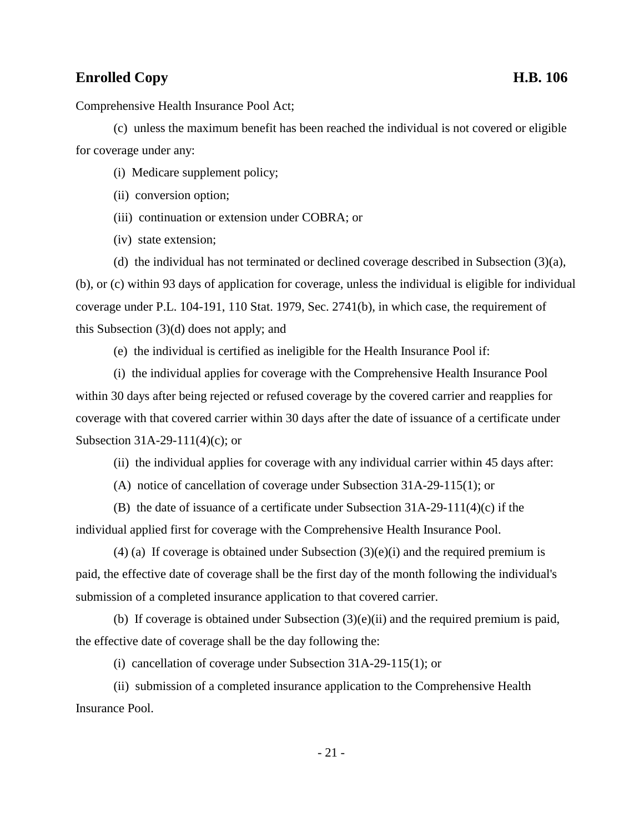Comprehensive Health Insurance Pool Act;

(c) unless the maximum benefit has been reached the individual is not covered or eligible for coverage under any:

(i) Medicare supplement policy;

(ii) conversion option;

(iii) continuation or extension under COBRA; or

(iv) state extension;

(d) the individual has not terminated or declined coverage described in Subsection (3)(a), (b), or (c) within 93 days of application for coverage, unless the individual is eligible for individual coverage under P.L. 104-191, 110 Stat. 1979, Sec. 2741(b), in which case, the requirement of this Subsection (3)(d) does not apply; and

(e) the individual is certified as ineligible for the Health Insurance Pool if:

(i) the individual applies for coverage with the Comprehensive Health Insurance Pool within 30 days after being rejected or refused coverage by the covered carrier and reapplies for coverage with that covered carrier within 30 days after the date of issuance of a certificate under Subsection 31A-29-111(4)(c); or

(ii) the individual applies for coverage with any individual carrier within 45 days after:

(A) notice of cancellation of coverage under Subsection 31A-29-115(1); or

(B) the date of issuance of a certificate under Subsection 31A-29-111(4)(c) if the individual applied first for coverage with the Comprehensive Health Insurance Pool.

(4) (a) If coverage is obtained under Subsection  $(3)(e)(i)$  and the required premium is paid, the effective date of coverage shall be the first day of the month following the individual's submission of a completed insurance application to that covered carrier.

(b) If coverage is obtained under Subsection  $(3)(e)(ii)$  and the required premium is paid, the effective date of coverage shall be the day following the:

(i) cancellation of coverage under Subsection 31A-29-115(1); or

(ii) submission of a completed insurance application to the Comprehensive Health Insurance Pool.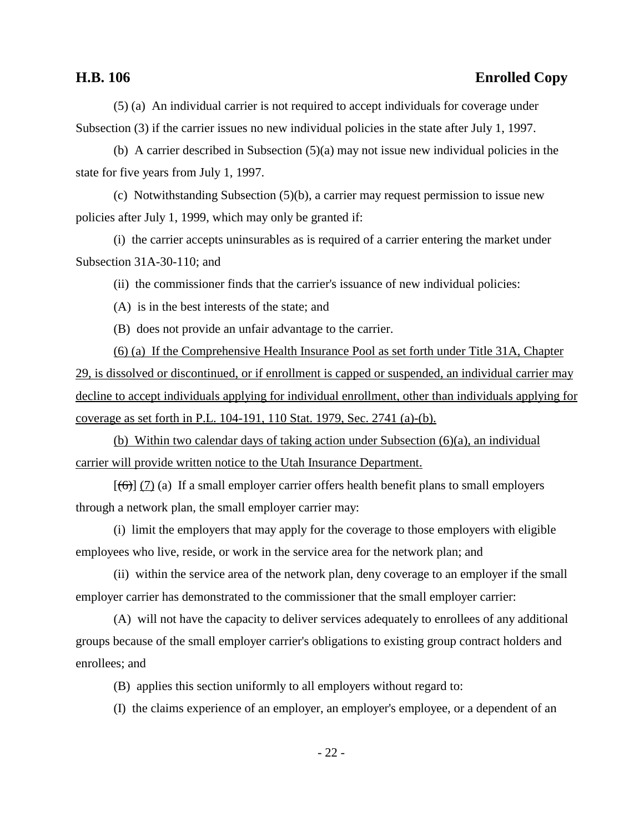(5) (a) An individual carrier is not required to accept individuals for coverage under Subsection (3) if the carrier issues no new individual policies in the state after July 1, 1997.

(b) A carrier described in Subsection (5)(a) may not issue new individual policies in the state for five years from July 1, 1997.

(c) Notwithstanding Subsection (5)(b), a carrier may request permission to issue new policies after July 1, 1999, which may only be granted if:

(i) the carrier accepts uninsurables as is required of a carrier entering the market under Subsection 31A-30-110; and

(ii) the commissioner finds that the carrier's issuance of new individual policies:

(A) is in the best interests of the state; and

(B) does not provide an unfair advantage to the carrier.

(6) (a) If the Comprehensive Health Insurance Pool as set forth under Title 31A, Chapter 29, is dissolved or discontinued, or if enrollment is capped or suspended, an individual carrier may decline to accept individuals applying for individual enrollment, other than individuals applying for coverage as set forth in P.L. 104-191, 110 Stat. 1979, Sec. 2741 (a)-(b).

(b) Within two calendar days of taking action under Subsection (6)(a), an individual carrier will provide written notice to the Utah Insurance Department.

 $[(6)]$  (7) (a) If a small employer carrier offers health benefit plans to small employers through a network plan, the small employer carrier may:

(i) limit the employers that may apply for the coverage to those employers with eligible employees who live, reside, or work in the service area for the network plan; and

(ii) within the service area of the network plan, deny coverage to an employer if the small employer carrier has demonstrated to the commissioner that the small employer carrier:

(A) will not have the capacity to deliver services adequately to enrollees of any additional groups because of the small employer carrier's obligations to existing group contract holders and enrollees; and

(B) applies this section uniformly to all employers without regard to:

(I) the claims experience of an employer, an employer's employee, or a dependent of an